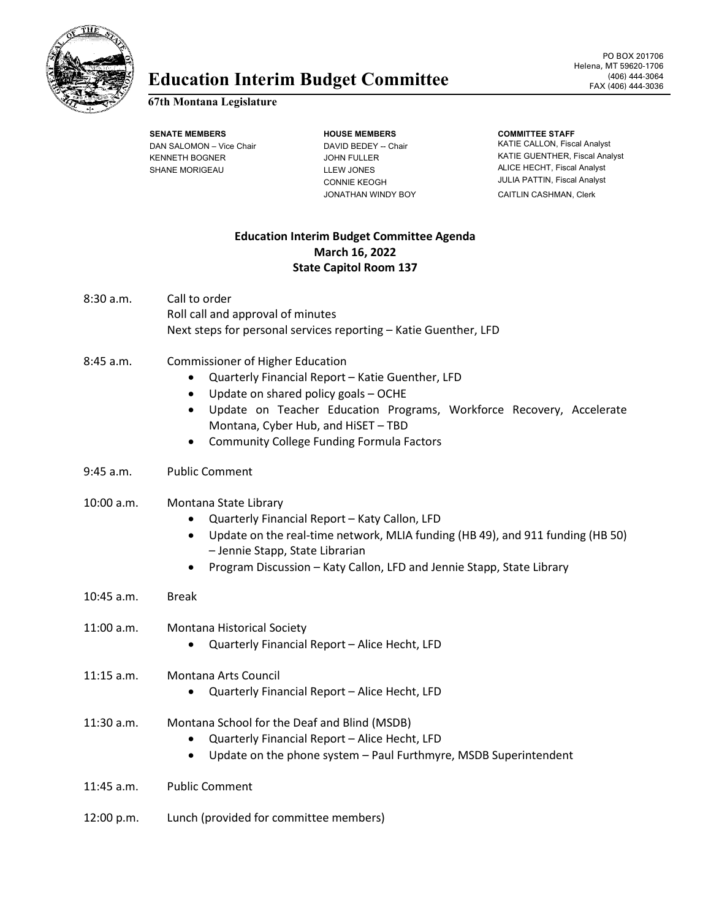

# Education Interim Budget Committee **FAX (406)** 444-3064

#### **67th Montana Legislature**

**SENATE MEMBERS HOUSE MEMBERS** DAN SALOMON – Vice Chair DAVID BEDEY -- Chair KENNETH BOGNER JOHN FULLER SHANE MORIGEAU LLEW JONES

CONNIE KEOGH JONATHAN WINDY BOY

#### **COMMITTEE STAFF**

KATIE CALLON, Fiscal Analyst KATIE GUENTHER, Fiscal Analyst ALICE HECHT, Fiscal Analyst JULIA PATTIN, Fiscal Analyst CAITLIN CASHMAN, Clerk

# **Education Interim Budget Committee Agenda March 16, 2022 State Capitol Room 137**

- 8:30 a.m. Call to order Roll call and approval of minutes Next steps for personal services reporting – Katie Guenther, LFD
- 8:45 a.m. Commissioner of Higher Education
	- Quarterly Financial Report Katie Guenther, LFD
	- Update on shared policy goals OCHE
	- Update on Teacher Education Programs, Workforce Recovery, Accelerate Montana, Cyber Hub, and HiSET – TBD
	- Community College Funding Formula Factors
- 9:45 a.m. Public Comment

## 10:00 a.m. Montana State Library

- Quarterly Financial Report Katy Callon, LFD
- Update on the real-time network, MLIA funding (HB 49), and 911 funding (HB 50) – Jennie Stapp, State Librarian
- Program Discussion Katy Callon, LFD and Jennie Stapp, State Library
- 10:45 a.m. Break
- 11:00 a.m. Montana Historical Society
	- Quarterly Financial Report Alice Hecht, LFD

### 11:15 a.m. Montana Arts Council

- Quarterly Financial Report Alice Hecht, LFD
- 11:30 a.m. Montana School for the Deaf and Blind (MSDB)
	- Quarterly Financial Report Alice Hecht, LFD
	- Update on the phone system Paul Furthmyre, MSDB Superintendent
- 11:45 a.m. Public Comment
- 12:00 p.m. Lunch (provided for committee members)